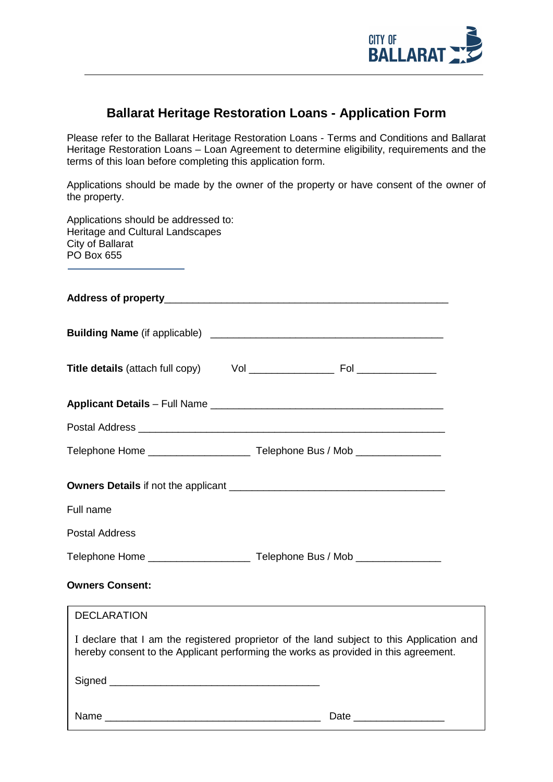

# **Ballarat Heritage Restoration Loans - Application Form**

Please refer to the Ballarat Heritage Restoration Loans - Terms and Conditions and Ballarat Heritage Restoration Loans - Loan Agreement to determine eligibility, requirements and the terms of this loan before completing this application form.

Applications should be made by the owner of the property or have consent of the owner of the property.

| Applications should be addressed to:<br>Heritage and Cultural Landscapes<br>City of Ballarat<br>PO Box 655                                                                       |  |  |  |
|----------------------------------------------------------------------------------------------------------------------------------------------------------------------------------|--|--|--|
|                                                                                                                                                                                  |  |  |  |
|                                                                                                                                                                                  |  |  |  |
|                                                                                                                                                                                  |  |  |  |
|                                                                                                                                                                                  |  |  |  |
|                                                                                                                                                                                  |  |  |  |
|                                                                                                                                                                                  |  |  |  |
|                                                                                                                                                                                  |  |  |  |
| Full name                                                                                                                                                                        |  |  |  |
| <b>Postal Address</b>                                                                                                                                                            |  |  |  |
|                                                                                                                                                                                  |  |  |  |
| <b>Owners Consent:</b>                                                                                                                                                           |  |  |  |
| DECLARATION                                                                                                                                                                      |  |  |  |
| I declare that I am the registered proprietor of the land subject to this Application and<br>hereby consent to the Applicant performing the works as provided in this agreement. |  |  |  |
|                                                                                                                                                                                  |  |  |  |
| Date                                                                                                                                                                             |  |  |  |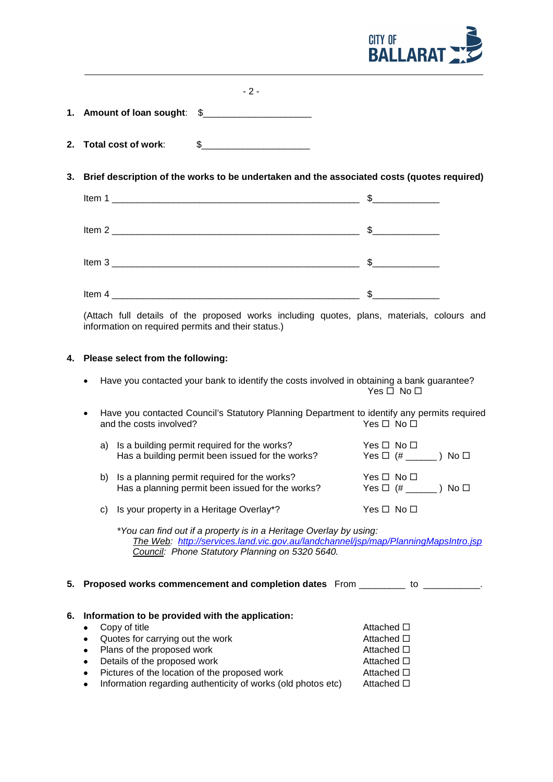

|                              | -2- |
|------------------------------|-----|
| 1. Amount of loan sought: \$ |     |

- **2. Total cost of work:** \$
- **3. Brief description of the works to be undertaken and the associated costs (quotes required)**

| Item 1 | \$. |
|--------|-----|
| Item 2 |     |
| Item 3 |     |
| Item 4 |     |

(Attach full details of the proposed works including quotes, plans, materials, colours and information on required permits and their status.)

## **4. Please select from the following:**

- Have you contacted your bank to identify the costs involved in obtaining a bank guarantee?  $Yes \Box No \Box$
- Have you contacted Council's Statutory Planning Department to identify any permits required<br>and the costs involved? <br>No  $\square$ and the costs involved?

| a) Is a building permit required for the works?<br>Has a building permit been issued for the works? | $Yes \Box No \Box$ |
|-----------------------------------------------------------------------------------------------------|--------------------|
| b) Is a planning permit required for the works?<br>Has a planning permit been issued for the works? | $Yes \Box No \Box$ |
| c) Is your property in a Heritage Overlay*?                                                         | Yes □ No □         |

*\*You can find out if a property is in a Heritage Overlay by using: The Web: <http://services.land.vic.gov.au/landchannel/jsp/map/PlanningMapsIntro.jsp> Council: Phone Statutory Planning on 5320 5640.*

**5. Proposed works commencement and completion dates** From \_\_\_\_\_\_\_\_\_ to \_\_\_\_\_\_\_\_\_\_\_.

| 6. | Information to be provided with the application:             |                    |  |
|----|--------------------------------------------------------------|--------------------|--|
|    | Copy of title                                                | Attached $\square$ |  |
|    | Quotes for carrying out the work<br>$\bullet$                | Attached □         |  |
|    | Plans of the proposed work<br>$\bullet$                      | Attached □         |  |
|    | Details of the proposed work<br>$\bullet$                    | Attached □         |  |
|    | Pictures of the location of the proposed work<br>$\bullet$   | Attached $\square$ |  |
|    | Information regarding authenticity of works (old photos etc) | Attached □         |  |